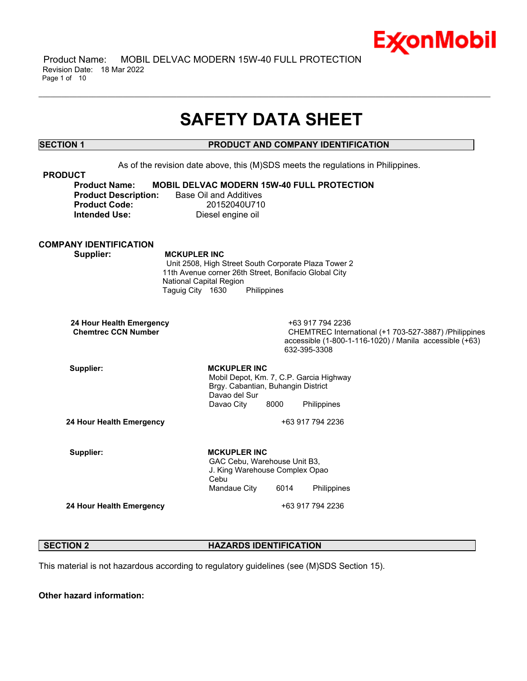

 Product Name: MOBIL DELVAC MODERN 15W-40 FULL PROTECTION Revision Date: 18 Mar 2022 Page 1 of 10

# **SAFETY DATA SHEET**

\_\_\_\_\_\_\_\_\_\_\_\_\_\_\_\_\_\_\_\_\_\_\_\_\_\_\_\_\_\_\_\_\_\_\_\_\_\_\_\_\_\_\_\_\_\_\_\_\_\_\_\_\_\_\_\_\_\_\_\_\_\_\_\_\_\_\_\_\_\_\_\_\_\_\_\_\_\_\_\_\_\_\_\_\_\_\_\_\_\_\_\_\_\_\_\_\_\_\_\_\_\_\_\_\_\_\_\_\_\_\_\_\_\_\_\_\_\_

# **SECTION 1 PRODUCT AND COMPANY IDENTIFICATION**

As of the revision date above, this (M)SDS meets the regulations in Philippines. **PRODUCT Product Name: MOBIL DELVAC MODERN 15W-40 FULL PROTECTION Product Description:** Base Oil and Additives **Product Code:** 20152040U710 **Intended Use:** Diesel engine oil **COMPANY IDENTIFICATION Supplier: MCKUPLER INC** Unit 2508, High Street South Corporate Plaza Tower 2 11th Avenue corner 26th Street, Bonifacio Global City National Capital Region Taguig City 1630 Philippines **24 Hour Health Emergency** +63 917 794 2236 **CHEMTREC International (+1 703-527-3887) /Philippines** accessible (1-800-1-116-1020) / Manila accessible (+63) 632-395-3308 Supplier: MCKUPLER INC Mobil Depot, Km. 7, C.P. Garcia Highway Brgy. Cabantian, Buhangin District Davao del Sur Davao City 8000 Philippines **24 Hour Health Emergency** +63 917 794 2236 Supplier: **MCKUPLER** INC GAC Cebu, Warehouse Unit B3, J. King Warehouse Complex Opao Cebu Mandaue City 6014 Philippines **24 Hour Health Emergency** +63 917 794 2236

# **SECTION 2 HAZARDS IDENTIFICATION**

This material is not hazardous according to regulatory guidelines (see (M)SDS Section 15).

**Other hazard information:**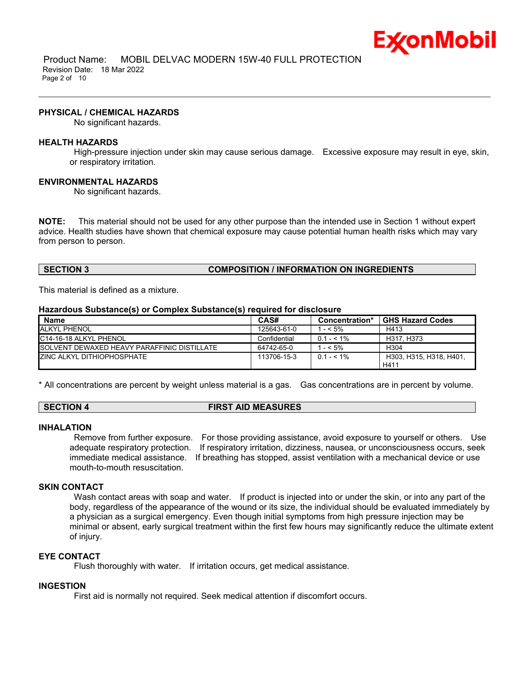

 Product Name: MOBIL DELVAC MODERN 15W-40 FULL PROTECTION Revision Date: 18 Mar 2022 Page 2 of 10

## **PHYSICAL / CHEMICAL HAZARDS**

No significant hazards.

### **HEALTH HAZARDS**

High-pressure injection under skin may cause serious damage. Excessive exposure may result in eye, skin, or respiratory irritation.

\_\_\_\_\_\_\_\_\_\_\_\_\_\_\_\_\_\_\_\_\_\_\_\_\_\_\_\_\_\_\_\_\_\_\_\_\_\_\_\_\_\_\_\_\_\_\_\_\_\_\_\_\_\_\_\_\_\_\_\_\_\_\_\_\_\_\_\_\_\_\_\_\_\_\_\_\_\_\_\_\_\_\_\_\_\_\_\_\_\_\_\_\_\_\_\_\_\_\_\_\_\_\_\_\_\_\_\_\_\_\_\_\_\_\_\_\_\_

## **ENVIRONMENTAL HAZARDS**

No significant hazards.

**NOTE:** This material should not be used for any other purpose than the intended use in Section 1 without expert advice. Health studies have shown that chemical exposure may cause potential human health risks which may vary from person to person.

# **SECTION 3 COMPOSITION / INFORMATION ON INGREDIENTS**

This material is defined as a mixture.

#### **Hazardous Substance(s) or Complex Substance(s) required for disclosure**

| <b>Name</b>                                        | CAS#         | <b>Concentration*</b> | <b>GHS Hazard Codes</b>         |
|----------------------------------------------------|--------------|-----------------------|---------------------------------|
| <b>ALKYL PHENOL</b>                                | 125643-61-0  | 1 - < 5%              | H413                            |
| IC14-16-18 ALKYL PHENOL                            | Confidential | $0.1 - 5.1\%$         | H317, H373                      |
| <b>SOLVENT DEWAXED HEAVY PARAFFINIC DISTILLATE</b> | 64742-65-0   | $1 - 5\%$             | H <sub>304</sub>                |
| <b>ZINC ALKYL DITHIOPHOSPHATE</b>                  | 113706-15-3  | $0.1 - 5.1\%$         | H303, H315, H318, H401,<br>H411 |

\* All concentrations are percent by weight unless material is a gas. Gas concentrations are in percent by volume.

# **SECTION 4 FIRST AID MEASURES**

# **INHALATION**

Remove from further exposure. For those providing assistance, avoid exposure to yourself or others. Use adequate respiratory protection. If respiratory irritation, dizziness, nausea, or unconsciousness occurs, seek immediate medical assistance. If breathing has stopped, assist ventilation with a mechanical device or use mouth-to-mouth resuscitation.

# **SKIN CONTACT**

Wash contact areas with soap and water. If product is injected into or under the skin, or into any part of the body, regardless of the appearance of the wound or its size, the individual should be evaluated immediately by a physician as a surgical emergency. Even though initial symptoms from high pressure injection may be minimal or absent, early surgical treatment within the first few hours may significantly reduce the ultimate extent of injury.

# **EYE CONTACT**

Flush thoroughly with water. If irritation occurs, get medical assistance.

# **INGESTION**

First aid is normally not required. Seek medical attention if discomfort occurs.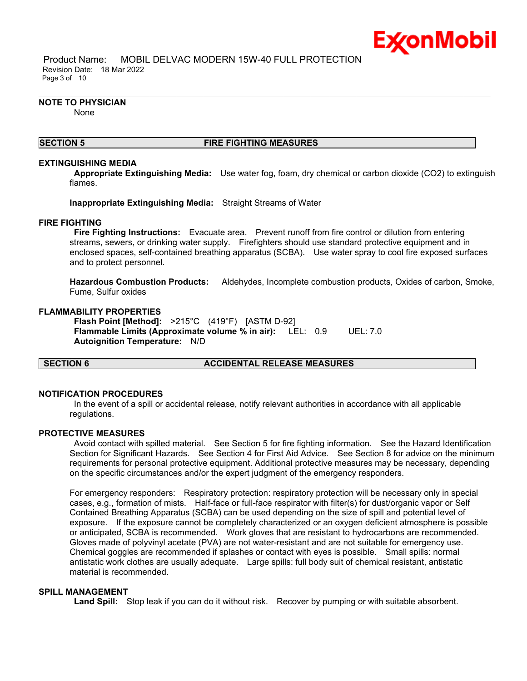

 Product Name: MOBIL DELVAC MODERN 15W-40 FULL PROTECTION Revision Date: 18 Mar 2022 Page 3 of 10

# **NOTE TO PHYSICIAN**

None

# **SECTION 5 FIRE FIGHTING MEASURES**

\_\_\_\_\_\_\_\_\_\_\_\_\_\_\_\_\_\_\_\_\_\_\_\_\_\_\_\_\_\_\_\_\_\_\_\_\_\_\_\_\_\_\_\_\_\_\_\_\_\_\_\_\_\_\_\_\_\_\_\_\_\_\_\_\_\_\_\_\_\_\_\_\_\_\_\_\_\_\_\_\_\_\_\_\_\_\_\_\_\_\_\_\_\_\_\_\_\_\_\_\_\_\_\_\_\_\_\_\_\_\_\_\_\_\_\_\_\_

#### **EXTINGUISHING MEDIA**

**Appropriate Extinguishing Media:** Use water fog, foam, dry chemical or carbon dioxide (CO2) to extinguish flames.

**Inappropriate Extinguishing Media:** Straight Streams of Water

# **FIRE FIGHTING**

**Fire Fighting Instructions:** Evacuate area. Prevent runoff from fire control or dilution from entering streams, sewers, or drinking water supply. Firefighters should use standard protective equipment and in enclosed spaces, self-contained breathing apparatus (SCBA). Use water spray to cool fire exposed surfaces and to protect personnel.

**Hazardous Combustion Products:** Aldehydes, Incomplete combustion products, Oxides of carbon, Smoke, Fume, Sulfur oxides

# **FLAMMABILITY PROPERTIES**

**Flash Point [Method]:** >215°C (419°F) [ASTM D-92] **Flammable Limits (Approximate volume % in air):** LEL: 0.9 UEL: 7.0 **Autoignition Temperature:** N/D

# **SECTION 6 ACCIDENTAL RELEASE MEASURES**

# **NOTIFICATION PROCEDURES**

In the event of a spill or accidental release, notify relevant authorities in accordance with all applicable regulations.

#### **PROTECTIVE MEASURES**

Avoid contact with spilled material. See Section 5 for fire fighting information. See the Hazard Identification Section for Significant Hazards. See Section 4 for First Aid Advice. See Section 8 for advice on the minimum requirements for personal protective equipment. Additional protective measures may be necessary, depending on the specific circumstances and/or the expert judgment of the emergency responders.

For emergency responders: Respiratory protection: respiratory protection will be necessary only in special cases, e.g., formation of mists. Half-face or full-face respirator with filter(s) for dust/organic vapor or Self Contained Breathing Apparatus (SCBA) can be used depending on the size of spill and potential level of exposure. If the exposure cannot be completely characterized or an oxygen deficient atmosphere is possible or anticipated, SCBA is recommended. Work gloves that are resistant to hydrocarbons are recommended. Gloves made of polyvinyl acetate (PVA) are not water-resistant and are not suitable for emergency use. Chemical goggles are recommended if splashes or contact with eyes is possible. Small spills: normal antistatic work clothes are usually adequate. Large spills: full body suit of chemical resistant, antistatic material is recommended.

# **SPILL MANAGEMENT**

**Land Spill:** Stop leak if you can do it without risk. Recover by pumping or with suitable absorbent.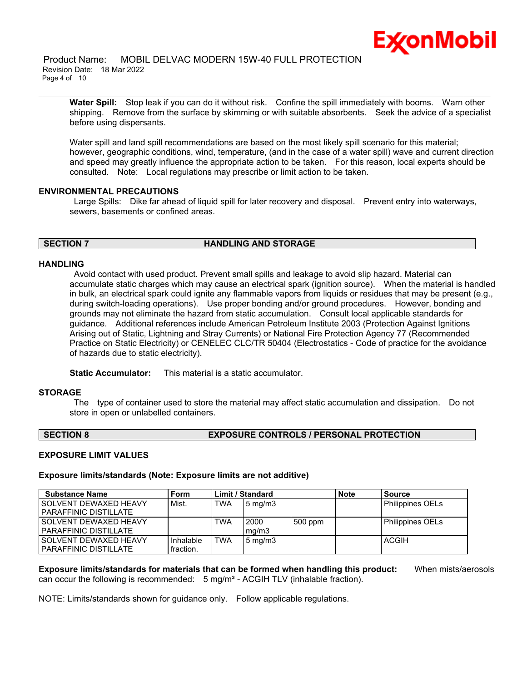Product Name: MOBIL DELVAC MODERN 15W-40 FULL PROTECTION Revision Date: 18 Mar 2022 Page 4 of 10

**Water Spill:** Stop leak if you can do it without risk. Confine the spill immediately with booms. Warn other shipping. Remove from the surface by skimming or with suitable absorbents. Seek the advice of a specialist before using dispersants.

\_\_\_\_\_\_\_\_\_\_\_\_\_\_\_\_\_\_\_\_\_\_\_\_\_\_\_\_\_\_\_\_\_\_\_\_\_\_\_\_\_\_\_\_\_\_\_\_\_\_\_\_\_\_\_\_\_\_\_\_\_\_\_\_\_\_\_\_\_\_\_\_\_\_\_\_\_\_\_\_\_\_\_\_\_\_\_\_\_\_\_\_\_\_\_\_\_\_\_\_\_\_\_\_\_\_\_\_\_\_\_\_\_\_\_\_\_\_

Water spill and land spill recommendations are based on the most likely spill scenario for this material; however, geographic conditions, wind, temperature, (and in the case of a water spill) wave and current direction and speed may greatly influence the appropriate action to be taken. For this reason, local experts should be consulted. Note: Local regulations may prescribe or limit action to be taken.

# **ENVIRONMENTAL PRECAUTIONS**

Large Spills: Dike far ahead of liquid spill for later recovery and disposal. Prevent entry into waterways, sewers, basements or confined areas.

# **SECTION 7 HANDLING AND STORAGE**

# **HANDLING**

Avoid contact with used product. Prevent small spills and leakage to avoid slip hazard. Material can accumulate static charges which may cause an electrical spark (ignition source). When the material is handled in bulk, an electrical spark could ignite any flammable vapors from liquids or residues that may be present (e.g., during switch-loading operations). Use proper bonding and/or ground procedures. However, bonding and grounds may not eliminate the hazard from static accumulation. Consult local applicable standards for guidance. Additional references include American Petroleum Institute 2003 (Protection Against Ignitions Arising out of Static, Lightning and Stray Currents) or National Fire Protection Agency 77 (Recommended Practice on Static Electricity) or CENELEC CLC/TR 50404 (Electrostatics - Code of practice for the avoidance of hazards due to static electricity).

**Static Accumulator:** This material is a static accumulator.

# **STORAGE**

The type of container used to store the material may affect static accumulation and dissipation. Do not store in open or unlabelled containers.

# **SECTION 8 EXPOSURE CONTROLS / PERSONAL PROTECTION**

# **EXPOSURE LIMIT VALUES**

**Exposure limits/standards (Note: Exposure limits are not additive)**

| <b>Substance Name</b>        | Form      |            | <b>Limit / Standard</b> |         | <b>Note</b> | <b>Source</b>           |
|------------------------------|-----------|------------|-------------------------|---------|-------------|-------------------------|
| SOLVENT DEWAXED HEAVY        | Mist.     | <b>TWA</b> | $5 \text{ mg/m}$        |         |             | <b>Philippines OELs</b> |
| <b>PARAFFINIC DISTILLATE</b> |           |            |                         |         |             |                         |
| SOLVENT DEWAXED HEAVY        |           | TWA        | 2000                    | 500 ppm |             | Philippines OELs        |
| <b>PARAFFINIC DISTILLATE</b> |           |            | ma/m3                   |         |             |                         |
| SOLVENT DEWAXED HEAVY        | Inhalable | <b>TWA</b> | $5 \text{ mg/m}$        |         |             | <b>ACGIH</b>            |
| <b>PARAFFINIC DISTILLATE</b> | fraction. |            |                         |         |             |                         |

**Exposure limits/standards for materials that can be formed when handling this product:** When mists/aerosols can occur the following is recommended:  $5 \text{ mg/m}^3$  - ACGIH TLV (inhalable fraction).

NOTE: Limits/standards shown for guidance only. Follow applicable regulations.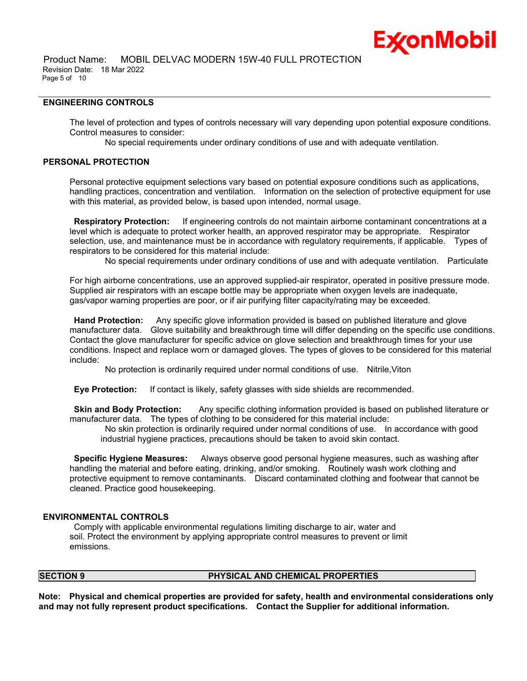

# **ENGINEERING CONTROLS**

The level of protection and types of controls necessary will vary depending upon potential exposure conditions. Control measures to consider:

No special requirements under ordinary conditions of use and with adequate ventilation.

\_\_\_\_\_\_\_\_\_\_\_\_\_\_\_\_\_\_\_\_\_\_\_\_\_\_\_\_\_\_\_\_\_\_\_\_\_\_\_\_\_\_\_\_\_\_\_\_\_\_\_\_\_\_\_\_\_\_\_\_\_\_\_\_\_\_\_\_\_\_\_\_\_\_\_\_\_\_\_\_\_\_\_\_\_\_\_\_\_\_\_\_\_\_\_\_\_\_\_\_\_\_\_\_\_\_\_\_\_\_\_\_\_\_\_\_\_\_

# **PERSONAL PROTECTION**

Personal protective equipment selections vary based on potential exposure conditions such as applications, handling practices, concentration and ventilation. Information on the selection of protective equipment for use with this material, as provided below, is based upon intended, normal usage.

**Respiratory Protection:** If engineering controls do not maintain airborne contaminant concentrations at a level which is adequate to protect worker health, an approved respirator may be appropriate. Respirator selection, use, and maintenance must be in accordance with regulatory requirements, if applicable. Types of respirators to be considered for this material include:

No special requirements under ordinary conditions of use and with adequate ventilation. Particulate

For high airborne concentrations, use an approved supplied-air respirator, operated in positive pressure mode. Supplied air respirators with an escape bottle may be appropriate when oxygen levels are inadequate, gas/vapor warning properties are poor, or if air purifying filter capacity/rating may be exceeded.

**Hand Protection:** Any specific glove information provided is based on published literature and glove manufacturer data. Glove suitability and breakthrough time will differ depending on the specific use conditions. Contact the glove manufacturer for specific advice on glove selection and breakthrough times for your use conditions. Inspect and replace worn or damaged gloves. The types of gloves to be considered for this material include:

No protection is ordinarily required under normal conditions of use. Nitrile,Viton

**Eye Protection:** If contact is likely, safety glasses with side shields are recommended.

**Skin and Body Protection:** Any specific clothing information provided is based on published literature or manufacturer data. The types of clothing to be considered for this material include:

No skin protection is ordinarily required under normal conditions of use. In accordance with good industrial hygiene practices, precautions should be taken to avoid skin contact.

**Specific Hygiene Measures:** Always observe good personal hygiene measures, such as washing after handling the material and before eating, drinking, and/or smoking. Routinely wash work clothing and protective equipment to remove contaminants. Discard contaminated clothing and footwear that cannot be cleaned. Practice good housekeeping.

# **ENVIRONMENTAL CONTROLS**

Comply with applicable environmental regulations limiting discharge to air, water and soil. Protect the environment by applying appropriate control measures to prevent or limit emissions.

# **SECTION 9 PHYSICAL AND CHEMICAL PROPERTIES**

**Note: Physical and chemical properties are provided for safety, health and environmental considerations only and may not fully represent product specifications. Contact the Supplier for additional information.**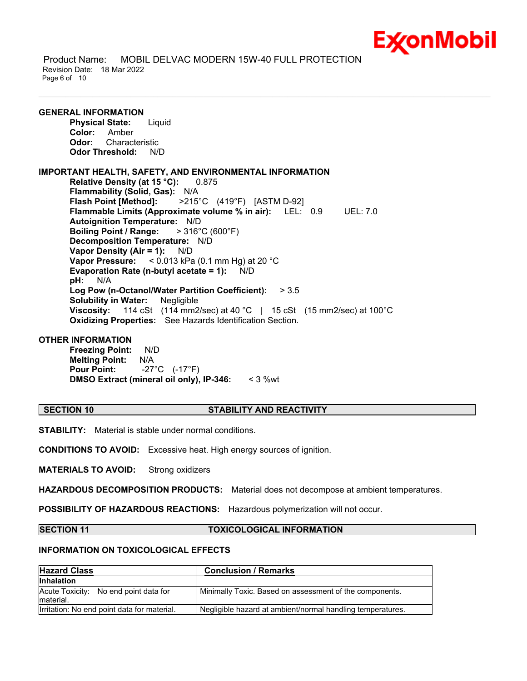

 Product Name: MOBIL DELVAC MODERN 15W-40 FULL PROTECTION Revision Date: 18 Mar 2022 Page 6 of 10

**GENERAL INFORMATION Physical State:** Liquid **Color:** Amber **Odor:** Characteristic **Odor Threshold:** N/D **IMPORTANT HEALTH, SAFETY, AND ENVIRONMENTAL INFORMATION Relative Density (at 15 °C):** 0.875 **Flammability (Solid, Gas):** N/A **Flash Point [Method]:** >215°C (419°F) [ASTM D-92] **Flammable Limits (Approximate volume % in air):** LEL: 0.9 UEL: 7.0 **Autoignition Temperature:** N/D **Boiling Point / Range:** > 316°C (600°F) **Decomposition Temperature:** N/D **Vapor Density (Air = 1):** N/D **Vapor Pressure:** < 0.013 kPa (0.1 mm Hg) at 20 °C **Evaporation Rate (n-butyl acetate = 1):** N/D **pH:** N/A **Log Pow (n-Octanol/Water Partition Coefficient):** > 3.5 **Solubility in Water:** Negligible **Viscosity:** 114 cSt (114 mm2/sec) at 40 °C | 15 cSt (15 mm2/sec) at 100°C **Oxidizing Properties:** See Hazards Identification Section.

# **OTHER INFORMATION**

**Freezing Point:** N/D **Melting Point:** N/A **Pour Point:** -27°C (-17°F) **DMSO Extract (mineral oil only), IP-346:** < 3 %wt

#### **SECTION 10 STABILITY AND REACTIVITY**

\_\_\_\_\_\_\_\_\_\_\_\_\_\_\_\_\_\_\_\_\_\_\_\_\_\_\_\_\_\_\_\_\_\_\_\_\_\_\_\_\_\_\_\_\_\_\_\_\_\_\_\_\_\_\_\_\_\_\_\_\_\_\_\_\_\_\_\_\_\_\_\_\_\_\_\_\_\_\_\_\_\_\_\_\_\_\_\_\_\_\_\_\_\_\_\_\_\_\_\_\_\_\_\_\_\_\_\_\_\_\_\_\_\_\_\_\_\_

**STABILITY:** Material is stable under normal conditions.

**CONDITIONS TO AVOID:** Excessive heat. High energy sources of ignition.

**MATERIALS TO AVOID:** Strong oxidizers

**HAZARDOUS DECOMPOSITION PRODUCTS:** Material does not decompose at ambient temperatures.

**POSSIBILITY OF HAZARDOUS REACTIONS:** Hazardous polymerization will not occur.

# **SECTION 11 TOXICOLOGICAL INFORMATION**

# **INFORMATION ON TOXICOLOGICAL EFFECTS**

| <b>Hazard Class</b>                                | <b>Conclusion / Remarks</b>                                |
|----------------------------------------------------|------------------------------------------------------------|
| <b>Inhalation</b>                                  |                                                            |
| Acute Toxicity: No end point data for<br>material. | Minimally Toxic. Based on assessment of the components.    |
| Irritation: No end point data for material.        | Negligible hazard at ambient/normal handling temperatures. |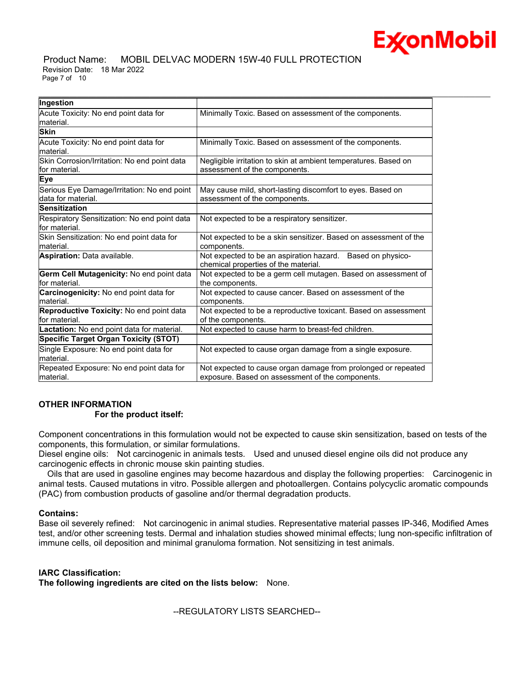

# Product Name: MOBIL DELVAC MODERN 15W-40 FULL PROTECTION Revision Date: 18 Mar 2022 Page 7 of 10

| Ingestion                                                         |                                                                                                                   |  |
|-------------------------------------------------------------------|-------------------------------------------------------------------------------------------------------------------|--|
| Acute Toxicity: No end point data for                             | Minimally Toxic. Based on assessment of the components.                                                           |  |
| lmaterial.                                                        |                                                                                                                   |  |
| <b>Skin</b>                                                       |                                                                                                                   |  |
| Acute Toxicity: No end point data for<br>material.                | Minimally Toxic. Based on assessment of the components.                                                           |  |
| Skin Corrosion/Irritation: No end point data                      | Negligible irritation to skin at ambient temperatures. Based on                                                   |  |
| lfor material.                                                    | assessment of the components.                                                                                     |  |
| Eye                                                               |                                                                                                                   |  |
| Serious Eye Damage/Irritation: No end point<br>data for material. | May cause mild, short-lasting discomfort to eyes. Based on<br>assessment of the components.                       |  |
| <b>Sensitization</b>                                              |                                                                                                                   |  |
| Respiratory Sensitization: No end point data<br>for material.     | Not expected to be a respiratory sensitizer.                                                                      |  |
| Skin Sensitization: No end point data for<br>lmaterial.           | Not expected to be a skin sensitizer. Based on assessment of the<br>components.                                   |  |
| Aspiration: Data available.                                       | Not expected to be an aspiration hazard. Based on physico-<br>chemical properties of the material.                |  |
| Germ Cell Mutagenicity: No end point data<br>for material.        | Not expected to be a germ cell mutagen. Based on assessment of<br>the components.                                 |  |
| Carcinogenicity: No end point data for<br>material.               | Not expected to cause cancer. Based on assessment of the<br>components.                                           |  |
| Reproductive Toxicity: No end point data<br>for material.         | Not expected to be a reproductive toxicant. Based on assessment<br>of the components.                             |  |
| Lactation: No end point data for material.                        | Not expected to cause harm to breast-fed children.                                                                |  |
| <b>Specific Target Organ Toxicity (STOT)</b>                      |                                                                                                                   |  |
| Single Exposure: No end point data for<br>lmaterial.              | Not expected to cause organ damage from a single exposure.                                                        |  |
| Repeated Exposure: No end point data for<br>material.             | Not expected to cause organ damage from prolonged or repeated<br>exposure. Based on assessment of the components. |  |

# **OTHER INFORMATION**

# **For the product itself:**

Component concentrations in this formulation would not be expected to cause skin sensitization, based on tests of the components, this formulation, or similar formulations.

Diesel engine oils: Not carcinogenic in animals tests. Used and unused diesel engine oils did not produce any carcinogenic effects in chronic mouse skin painting studies.

 Oils that are used in gasoline engines may become hazardous and display the following properties: Carcinogenic in animal tests. Caused mutations in vitro. Possible allergen and photoallergen. Contains polycyclic aromatic compounds (PAC) from combustion products of gasoline and/or thermal degradation products.

# **Contains:**

Base oil severely refined: Not carcinogenic in animal studies. Representative material passes IP-346, Modified Ames test, and/or other screening tests. Dermal and inhalation studies showed minimal effects; lung non-specific infiltration of immune cells, oil deposition and minimal granuloma formation. Not sensitizing in test animals.

# **IARC Classification:**

**The following ingredients are cited on the lists below:** None.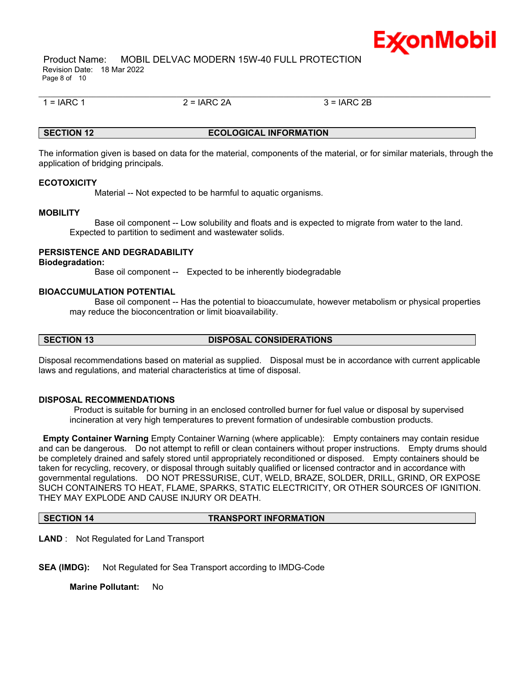

 Product Name: MOBIL DELVAC MODERN 15W-40 FULL PROTECTION Revision Date: 18 Mar 2022 Page 8 of 10

 $1 = IARC 1$  2 =  $IARC 2A$  3 =  $IARC 2B$ 

# **SECTION 12 ECOLOGICAL INFORMATION**

The information given is based on data for the material, components of the material, or for similar materials, through the application of bridging principals.

\_\_\_\_\_\_\_\_\_\_\_\_\_\_\_\_\_\_\_\_\_\_\_\_\_\_\_\_\_\_\_\_\_\_\_\_\_\_\_\_\_\_\_\_\_\_\_\_\_\_\_\_\_\_\_\_\_\_\_\_\_\_\_\_\_\_\_\_\_\_\_\_\_\_\_\_\_\_\_\_\_\_\_\_\_\_\_\_\_\_\_\_\_\_\_\_\_\_\_\_\_\_\_\_\_\_\_\_\_\_\_\_\_\_\_\_\_\_

# **ECOTOXICITY**

Material -- Not expected to be harmful to aquatic organisms.

# **MOBILITY**

 Base oil component -- Low solubility and floats and is expected to migrate from water to the land. Expected to partition to sediment and wastewater solids.

# **PERSISTENCE AND DEGRADABILITY**

## **Biodegradation:**

Base oil component -- Expected to be inherently biodegradable

# **BIOACCUMULATION POTENTIAL**

 Base oil component -- Has the potential to bioaccumulate, however metabolism or physical properties may reduce the bioconcentration or limit bioavailability.

# **SECTION 13 DISPOSAL CONSIDERATIONS**

Disposal recommendations based on material as supplied. Disposal must be in accordance with current applicable laws and regulations, and material characteristics at time of disposal.

# **DISPOSAL RECOMMENDATIONS**

Product is suitable for burning in an enclosed controlled burner for fuel value or disposal by supervised incineration at very high temperatures to prevent formation of undesirable combustion products.

**Empty Container Warning** Empty Container Warning (where applicable): Empty containers may contain residue and can be dangerous. Do not attempt to refill or clean containers without proper instructions. Empty drums should be completely drained and safely stored until appropriately reconditioned or disposed. Empty containers should be taken for recycling, recovery, or disposal through suitably qualified or licensed contractor and in accordance with governmental regulations. DO NOT PRESSURISE, CUT, WELD, BRAZE, SOLDER, DRILL, GRIND, OR EXPOSE SUCH CONTAINERS TO HEAT, FLAME, SPARKS, STATIC ELECTRICITY, OR OTHER SOURCES OF IGNITION. THEY MAY EXPLODE AND CAUSE INJURY OR DEATH.

# **SECTION 14 TRANSPORT INFORMATION**

**LAND** : Not Regulated for Land Transport

**SEA (IMDG):** Not Regulated for Sea Transport according to IMDG-Code

**Marine Pollutant:** No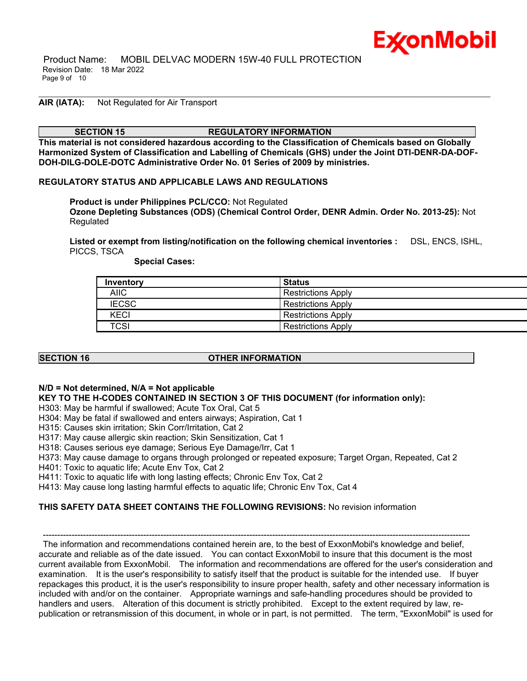

 Product Name: MOBIL DELVAC MODERN 15W-40 FULL PROTECTION Revision Date: 18 Mar 2022 Page 9 of 10

# **AIR (IATA):** Not Regulated for Air Transport

# **SECTION 15 REGULATORY INFORMATION**

**This material is not considered hazardous according to the Classification of Chemicals based on Globally Harmonized System of Classification and Labelling of Chemicals (GHS) under the Joint DTI-DENR-DA-DOF-DOH-DILG-DOLE-DOTC Administrative Order No. 01 Series of 2009 by ministries.**

\_\_\_\_\_\_\_\_\_\_\_\_\_\_\_\_\_\_\_\_\_\_\_\_\_\_\_\_\_\_\_\_\_\_\_\_\_\_\_\_\_\_\_\_\_\_\_\_\_\_\_\_\_\_\_\_\_\_\_\_\_\_\_\_\_\_\_\_\_\_\_\_\_\_\_\_\_\_\_\_\_\_\_\_\_\_\_\_\_\_\_\_\_\_\_\_\_\_\_\_\_\_\_\_\_\_\_\_\_\_\_\_\_\_\_\_\_\_

# **REGULATORY STATUS AND APPLICABLE LAWS AND REGULATIONS**

**Product is under Philippines PCL/CCO:** Not Regulated **Ozone Depleting Substances (ODS) (Chemical Control Order, DENR Admin. Order No. 2013-25):** Not Regulated

**Listed or exempt from listing/notification on the following chemical inventories :** DSL, ENCS, ISHL, PICCS, TSCA

 **Special Cases:**

| Inventory    | <b>Status</b>             |
|--------------|---------------------------|
| <b>AIIC</b>  | <b>Restrictions Apply</b> |
| <b>IECSC</b> | <b>Restrictions Apply</b> |
| KECI         | <b>Restrictions Apply</b> |
| TCSI         | <b>Restrictions Apply</b> |

# **SECTION 16 OTHER INFORMATION**

# **N/D = Not determined, N/A = Not applicable**

**KEY TO THE H-CODES CONTAINED IN SECTION 3 OF THIS DOCUMENT (for information only):**

H303: May be harmful if swallowed; Acute Tox Oral, Cat 5

H304: May be fatal if swallowed and enters airways; Aspiration, Cat 1

H315: Causes skin irritation; Skin Corr/Irritation, Cat 2

H317: May cause allergic skin reaction; Skin Sensitization, Cat 1

H318: Causes serious eye damage; Serious Eye Damage/Irr, Cat 1

H373: May cause damage to organs through prolonged or repeated exposure; Target Organ, Repeated, Cat 2

H401: Toxic to aquatic life; Acute Env Tox, Cat 2

H411: Toxic to aquatic life with long lasting effects; Chronic Env Tox, Cat 2

H413: May cause long lasting harmful effects to aquatic life; Chronic Env Tox, Cat 4

# **THIS SAFETY DATA SHEET CONTAINS THE FOLLOWING REVISIONS:** No revision information

The information and recommendations contained herein are, to the best of ExxonMobil's knowledge and belief, accurate and reliable as of the date issued. You can contact ExxonMobil to insure that this document is the most current available from ExxonMobil. The information and recommendations are offered for the user's consideration and examination. It is the user's responsibility to satisfy itself that the product is suitable for the intended use. If buyer repackages this product, it is the user's responsibility to insure proper health, safety and other necessary information is included with and/or on the container. Appropriate warnings and safe-handling procedures should be provided to handlers and users. Alteration of this document is strictly prohibited. Except to the extent required by law, republication or retransmission of this document, in whole or in part, is not permitted. The term, "ExxonMobil" is used for

-----------------------------------------------------------------------------------------------------------------------------------------------------